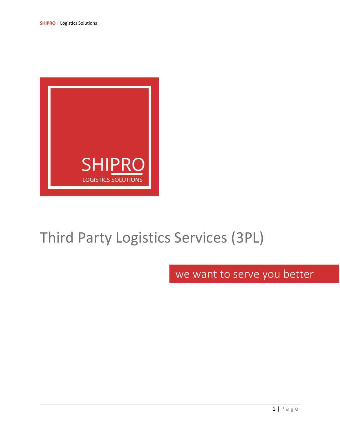

# Third Party Logistics Services (3PL)

we want to serve you better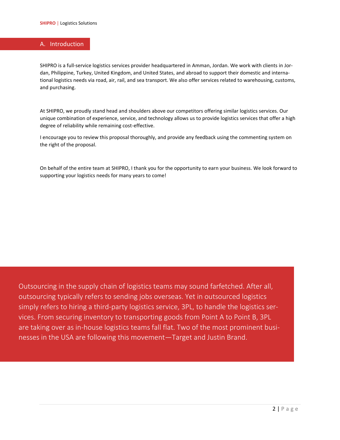## A. Introduction

SHIPRO is a full-service logistics services provider headquartered in Amman, Jordan. We work with clients in Jordan, Philippine, Turkey, United Kingdom, and United States, and abroad to support their domestic and international logistics needs via road, air, rail, and sea transport. We also offer services related to warehousing, customs, and purchasing.

At SHIPRO, we proudly stand head and shoulders above our competitors offering similar logistics services. Our unique combination of experience, service, and technology allows us to provide logistics services that offer a high degree of reliability while remaining cost-effective.

I encourage you to review this proposal thoroughly, and provide any feedback using the commenting system on the right of the proposal.

On behalf of the entire team at SHIPRO, I thank you for the opportunity to earn your business. We look forward to supporting your logistics needs for many years to come!

Outsourcing in the supply chain of logistics teams may sound farfetched. After all, outsourcing typically refers to sending jobs overseas. Yet in outsourced logistics simply refers to hiring a third-party logistics service, 3PL, to handle the logistics services. From securing inventory to transporting goods from Point A to Point B, 3PL are taking over as in-house logistics teams fall flat. Two of the most prominent businesses in the USA are following this movement—Target and Justin Brand.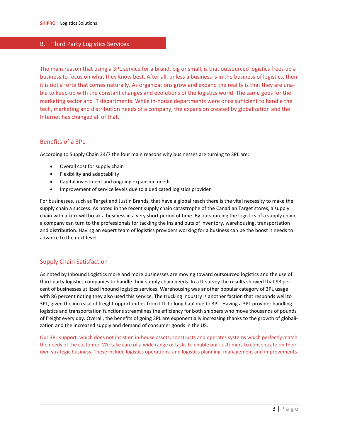## B. Third Party Logistics Services

The main reason that using a 3PL service for a brand, big or small, is that outsourced logistics frees up a business to focus on what they know best. After all, unless a business is in the business of logistics, then it is not a forte that comes naturally. As organizations grow and expand the reality is that they are unable to keep up with the constant changes and evolutions of the logistics world. The same goes for the marketing sector and IT departments. While in-house departments were once sufficient to handle the tech, marketing and distribution needs of a company, the expansion created by globalization and the Internet has changed all of that.

## Benefits of a 3PL

According to Supply Chain 24/7 the four main reasons why businesses are turning to 3PL are:

- Overall cost for supply chain
- Flexibility and adaptability
- Capital investment and ongoing expansion needs
- Improvement of service levels due to a dedicated logistics provider

For businesses, such as Target and Justin Brands, that have a global reach there is the vital necessity to make the supply chain a success. As noted in the recent supply chain catastrophe of the Canadian Target stores, a supply chain with a kink will break a business in a very short period of time. By outsourcing the logistics of a supply chain, a company can turn to the professionals for tackling the ins and outs of inventory, warehousing, transportation and distribution. Having an expert team of logistics providers working for a business can be the boost it needs to advance to the next level.

# Supply Chain Satisfaction

As noted by Inbound Logistics more and more businesses are moving toward outsourced logistics and the use of third-party logistics companies to handle their supply chain needs. In a IL survey the results showed that 93 percent of businesses utilized inbound logistics services. Warehousing was another popular category of 3PL usage with 86 percent noting they also used this service. The trucking industry is another faction that responds well to 3PL, given the increase of freight opportunities from LTL to long haul due to 3PL. Having a 3PL provider handling logistics and transportation functions streamlines the efficiency for both shippers who move thousands of pounds of freight every day. Overall, the benefits of going 3PL are exponentially increasing thanks to the growth of globalization and the increased supply and demand of consumer goods in the US.

Our 3PL support, which does not insist on in-house assets, constructs and operates systems which perfectly match the needs of the customer. We take care of a wide range of tasks to enable our customers to concentrate on their own strategic business. These include logistics operations, and logistics planning, management and improvements.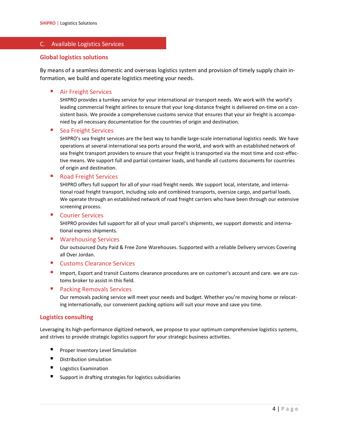## C. Available Logistics Services

## **Global logistics solutions**

By means of a seamless domestic and overseas logistics system and provision of timely supply chain information, we build and operate logistics meeting your needs.

### **Air Freight Services**

SHIPRO provides a turnkey service for your international air transport needs. We work with the world's leading commercial freight airlines to ensure that your long-distance freight is delivered on-time on a consistent basis. We provide a comprehensive customs service that ensures that your air freight is accompanied by all necessary documentation for the countries of origin and destination.

#### ■ Sea Freight Services

SHIPRO's sea freight services are the best way to handle large-scale international logistics needs. We have operations at several international sea ports around the world, and work with an established network of sea freight transport providers to ensure that your freight is transported via the most time and cost-effective means. We support full and partial container loads, and handle all customs documents for countries of origin and destination.

#### ■ Road Freight Services

SHIPRO offers full support for all of your road freight needs. We support local, interstate, and international road freight transport, including solo and combined transports, oversize cargo, and partial loads. We operate through an established network of road freight carriers who have been through our extensive screening process.

#### ■ Courier Services

SHIPRO provides full support for all of your small parcel's shipments, we support domestic and international express shipments.

#### ■ Warehousing Services

Our outsourced Duty Paid & Free Zone Warehouses. Supported with a reliable Delivery services Covering all Over Jordan.

#### ■ Customs Clearance Services

Import, Export and transit Customs clearance procedures are on customer's account and care. we are customs broker to assist in this field.

#### ■ Packing Removals Services

Our removals packing service will meet your needs and budget. Whether you're moving home or relocating internationally, our convenient packing options will suit your move and save you time.

#### **Logistics consulting**

Leveraging its high-performance digitized network, we propose to your optimum comprehensive logistics systems, and strives to provide strategic logistics support for your strategic business activities.

- Proper Inventory Level Simulation
- Distribution simulation
- Logistics Examination
- Support in drafting strategies for logistics subsidiaries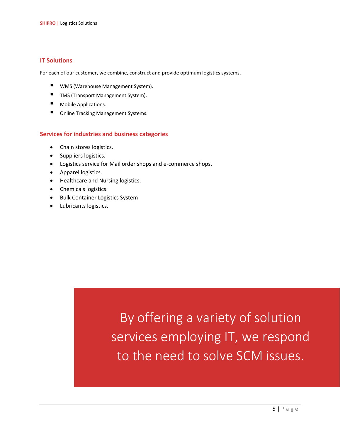# **IT Solutions**

For each of our customer, we combine, construct and provide optimum logistics systems.

- WMS (Warehouse Management System).
- TMS (Transport Management System).
- Mobile Applications.
- Online Tracking Management Systems.

## **Services for industries and business categories**

- Chain stores logistics.
- Suppliers logistics.
- Logistics service for Mail order shops and e-commerce shops.
- Apparel logistics.
- Healthcare and Nursing logistics.
- Chemicals logistics.
- Bulk Container Logistics System
- Lubricants logistics.

By offering a variety of solution services employing IT, we respond to the need to solve SCM issues.